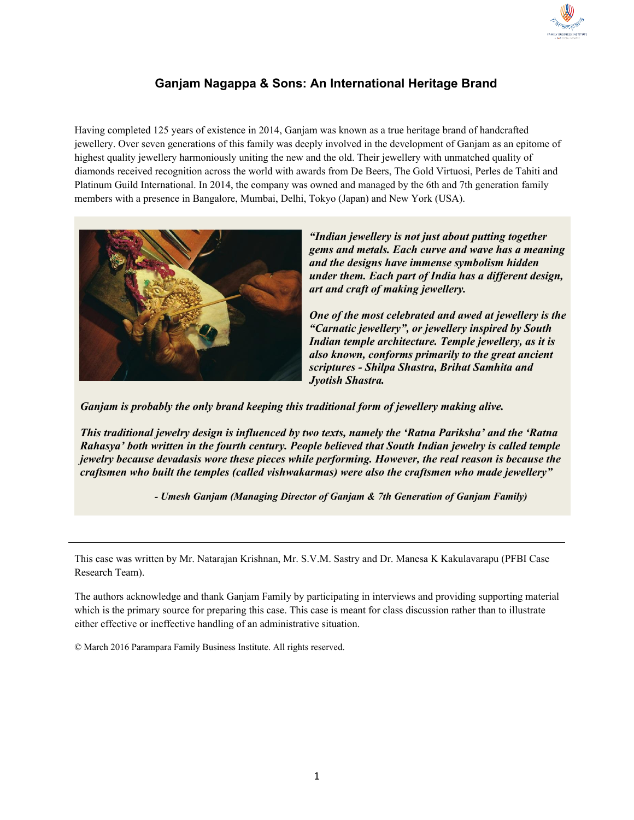

# **Ganjam Nagappa & Sons: An International Heritage Brand**

Having completed 125 years of existence in 2014, Ganjam was known as a true heritage brand of handcrafted jewellery. Over seven generations of this family was deeply involved in the development of Ganjam as an epitome of highest quality jewellery harmoniously uniting the new and the old. Their jewellery with unmatched quality of diamonds received recognition across the world with awards from De Beers, The Gold Virtuosi, Perles de Tahiti and Platinum Guild International. In 2014, the company was owned and managed by the 6th and 7th generation family members with a presence in Bangalore, Mumbai, Delhi, Tokyo (Japan) and New York (USA).



*"Indian jewellery is not just about putting together gems and metals. Each curve and wave has a meaning and the designs have immense symbolism hidden under them. Each part of India has a different design, art and craft of making jewellery.*

*One of the most celebrated and awed at jewellery is the "Carnatic jewellery", or jewellery inspired by South Indian temple architecture. Temple jewellery, as it is also known, conforms primarily to the great ancient scriptures - Shilpa Shastra, Brihat Samhita and Jyotish Shastra.*

*Ganjam is probably the only brand keeping this traditional form of jewellery making alive.*

*This traditional jewelry design is influenced by two texts, namely the 'Ratna Pariksha' and the 'Ratna Rahasya' both written in the fourth century. People believed that South Indian jewelry is called temple jewelry because devadasis wore these pieces while performing. However, the real reason is because the craftsmen who built the temples (called vishwakarmas) were also the craftsmen who made jewellery"*

*- Umesh Ganjam (Managing Director of Ganjam & 7th Generation of Ganjam Family)*

This case was written by Mr. Natarajan Krishnan, Mr. S.V.M. Sastry and Dr. Manesa K Kakulavarapu (PFBI Case Research Team).

The authors acknowledge and thank Ganjam Family by participating in interviews and providing supporting material which is the primary source for preparing this case. This case is meant for class discussion rather than to illustrate either effective or ineffective handling of an administrative situation.

© March 2016 Parampara Family Business Institute. All rights reserved.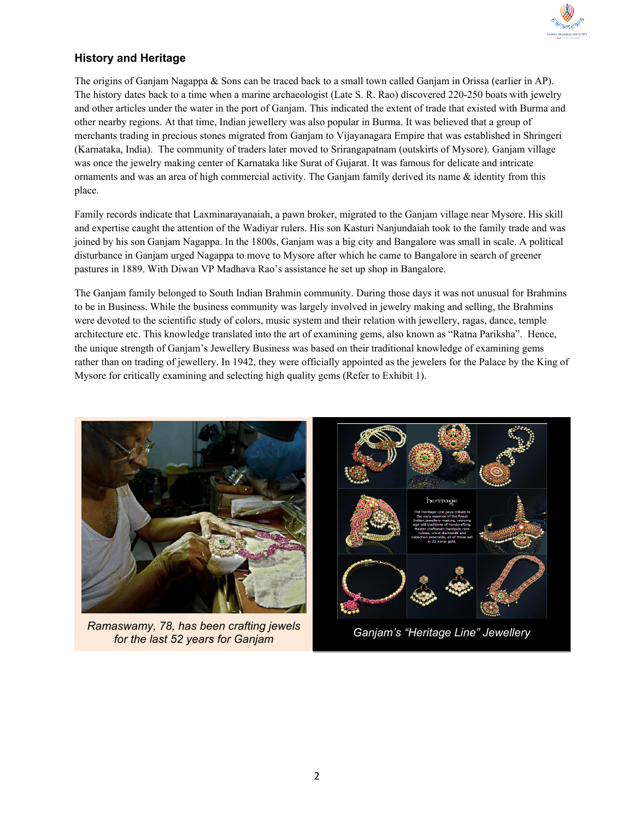

## **History and Heritage**

The origins of Ganjam Nagappa & Sons can be traced back to a small town called Ganjam in Orissa (earlier in AP). The history dates back to a time when a marine archaeologist (Late S. R. Rao) discovered 220-250 boats with jewelry and other articles under the water in the port of Ganjam. This indicated the extent of trade that existed with Burma and other nearby regions. At that time, Indian jewellery was also popular in Burma. It was believed that a group of merchants trading in precious stones migrated from Ganjam to Vijayanagara Empire that was established in Shringeri (Karnataka, India). The community of traders later moved to Srirangapatnam (outskirts of Mysore). Ganjam village was once the jewelry making center of Karnataka like Surat of Gujarat. It was famous for delicate and intricate ornaments and was an area of high commercial activity. The Ganjam family derived its name & identity from this place.

Family records indicate that Laxminarayanaiah, a pawn broker, migrated to the Ganjam village near Mysore. His skill and expertise caught the attention of the Wadiyar rulers. His son Kasturi Nanjundaiah took to the family trade and was joined by his son Ganjam Nagappa. In the 1800s, Ganjam was a big city and Bangalore was small in scale. A political disturbance in Ganjam urged Nagappa to move to Mysore after which he came to Bangalore in search of greener pastures in 1889. With Diwan VP Madhava Rao's assistance he set up shop in Bangalore.

The Ganjam family belonged to South Indian Brahmin community. During those days it was not unusual for Brahmins to be in Business. While the business community was largely involved in jewelry making and selling, the Brahmins were devoted to the scientific study of colors, music system and their relation with jewellery, ragas, dance, temple architecture etc. This knowledge translated into the art of examining gems, also known as "Ratna Pariksha". Hence, the unique strength of Ganjam's Jewellery Business was based on their traditional knowledge of examining gems rather than on trading of jewellery. In 1942, they were officially appointed as the jewelers for the Palace by the King of Mysore for critically examining and selecting high quality gems (Refer to Exhibit 1).

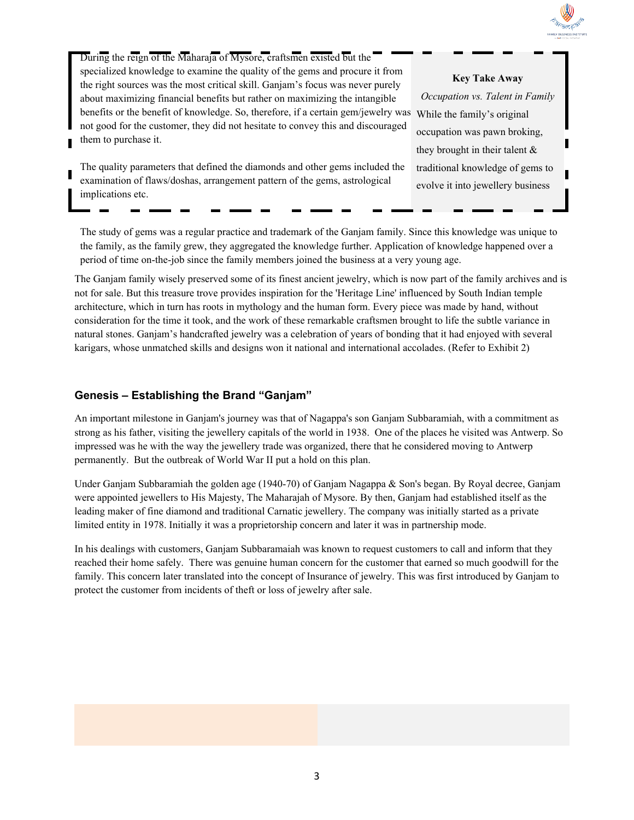

During the reign of the Maharaja of Mysore, craftsmen existed but the specialized knowledge to examine the quality of the gems and procure it from the right sources was the most critical skill. Ganjam's focus was never purely about maximizing financial benefits but rather on maximizing the intangible benefits or the benefit of knowledge. So, therefore, if a certain gem/jewelry was While the family's original not good for the customer, they did not hesitate to convey this and discouraged them to purchase it.

The quality parameters that defined the diamonds and other gems included the examination of flaws/doshas, arrangement pattern of the gems, astrological implications etc.

#### **Key Take Away**

*Occupation vs. Talent in Family* occupation was pawn broking, they brought in their talent & traditional knowledge of gems to evolve it into jewellery business

The study of gems was a regular practice and trademark of the Ganjam family. Since this knowledge was unique to the family, as the family grew, they aggregated the knowledge further. Application of knowledge happened over a period of time on-the-job since the family members joined the business at a very young age.

The Ganjam family wisely preserved some of its finest ancient jewelry, which is now part of the family archives and is not for sale. But this treasure trove provides inspiration for the 'Heritage Line' influenced by South Indian temple architecture, which in turn has roots in mythology and the human form. Every piece was made by hand, without consideration for the time it took, and the work of these remarkable craftsmen brought to life the subtle variance in natural stones. Ganjam's handcrafted jewelry was a celebration of years of bonding that it had enjoyed with several karigars, whose unmatched skills and designs won it national and international accolades. (Refer to Exhibit 2)

### **Genesis – Establishing the Brand "Ganjam"**

An important milestone in Ganjam's journey was that of Nagappa's son Ganjam Subbaramiah, with a commitment as strong as his father, visiting the jewellery capitals of the world in 1938. One of the places he visited was Antwerp. So impressed was he with the way the jewellery trade was organized, there that he considered moving to Antwerp permanently. But the outbreak of World War II put a hold on this plan.

Under Ganjam Subbaramiah the golden age (1940-70) of Ganjam Nagappa & Son's began. By Royal decree, Ganjam were appointed jewellers to His Majesty, The Maharajah of Mysore. By then, Ganjam had established itself as the leading maker of fine diamond and traditional Carnatic jewellery. The company was initially started as a private limited entity in 1978. Initially it was a proprietorship concern and later it was in partnership mode.

In his dealings with customers, Ganjam Subbaramaiah was known to request customers to call and inform that they reached their home safely. There was genuine human concern for the customer that earned so much goodwill for the family. This concern later translated into the concept of Insurance of jewelry. This was first introduced by Ganjam to protect the customer from incidents of theft or loss of jewelry after sale.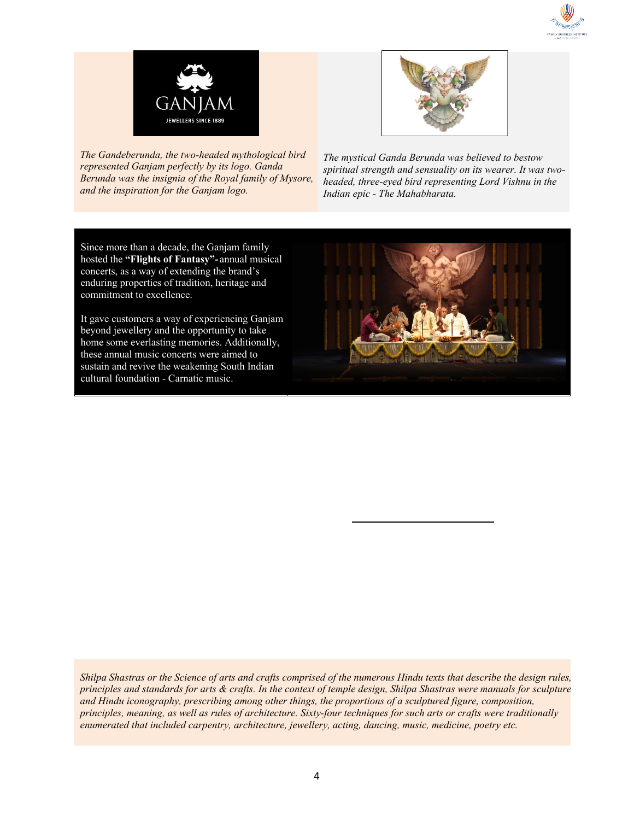



*The Gandeberunda, the two-headed mythological bird represented Ganjam perfectly by its logo. Ganda Berunda was the insignia of the Royal family of Mysore, and the inspiration for the Ganjam logo.*



*The mystical Ganda Berunda was believed to bestow spiritual strength and sensuality on its wearer. It was twoheaded, three-eyed bird representing Lord Vishnu in the Indian epic - The Mahabharata.*

Since more than a decade, the Ganjam family hosted the **"Flights of Fantasy"-** annual musical concerts, as a way of extending the brand's enduring properties of tradition, heritage and commitment to excellence.

It gave customers a way of experiencing Ganjam beyond jewellery and the opportunity to take home some everlasting memories. Additionally, these annual music concerts were aimed to sustain and revive the weakening South Indian cultural foundation - Carnatic music.



*Shilpa Shastras or the Science of arts and crafts comprised of the numerous Hindu texts that describe the design rules, principles and standards for arts & crafts. In the context of temple design, Shilpa Shastras were manuals for sculpture and Hindu iconography, prescribing among other things, the proportions of a sculptured figure, composition, principles, meaning, as well as rules of architecture. Sixty-four techniques for such arts or crafts were traditionally enumerated that included carpentry, architecture, jewellery, acting, dancing, music, medicine, poetry etc.*

precious stones, and the design and manufacture of traditional **South Indian Heritage Jewelry**, made him an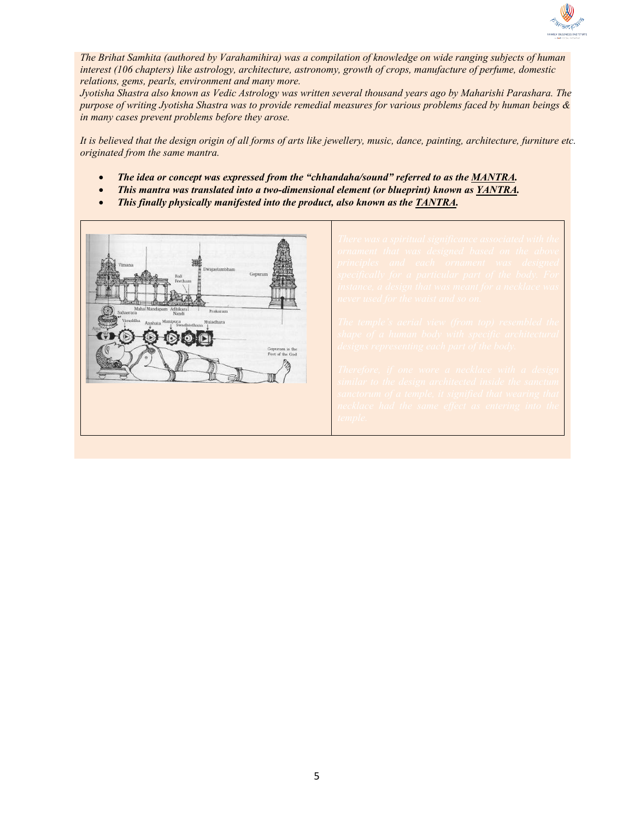

*The Brihat Samhita (authored by Varahamihira) was a compilation of knowledge on wide ranging subjects of human interest (106 chapters) like astrology, architecture, astronomy, growth of crops, manufacture of perfume, domestic relations, gems, pearls, environment and many more.*

*Jyotisha Shastra also known as Vedic Astrology was written several thousand years ago by Maharishi Parashara. The purpose of writing Jyotisha Shastra was to provide remedial measures for various problems faced by human beings & in many cases prevent problems before they arose.*

*It is believed that the design origin of all forms of arts like jewellery, music, dance, painting, architecture, furniture etc. originated from the same mantra.*

- *The idea or concept was expressed from the "chhandaha/sound" referred to as the MANTRA.*
- *This mantra was translated into a two-dimensional element (or blueprint) known as YANTRA.*
- *This finally physically manifested into the product, also known as the TANTRA.*

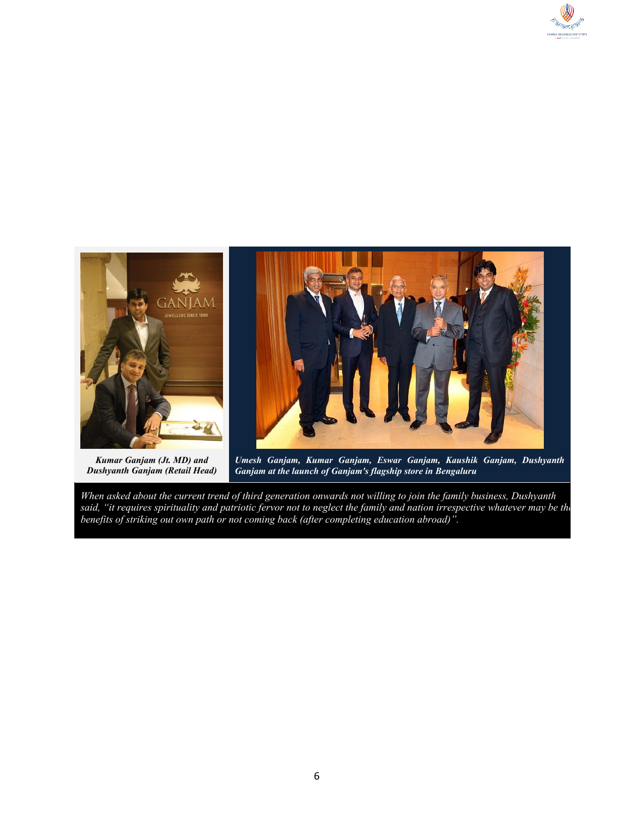



*Kumar Ganjam (Jt. MD) and Dushyanth Ganjam (Retail Head)*

*Umesh Ganjam, Kumar Ganjam, Eswar Ganjam, Kaushik Ganjam, Dushyanth Ganjam at the launch of Ganjam's flagship store in Bengaluru*

*When asked about the current trend of third generation onwards not willing to join the family business, Dushyanth said, "it requires spirituality and patriotic fervor not to neglect the family and nation irrespective whatever may be the benefits of striking out own path or not coming back (after completing education abroad)".*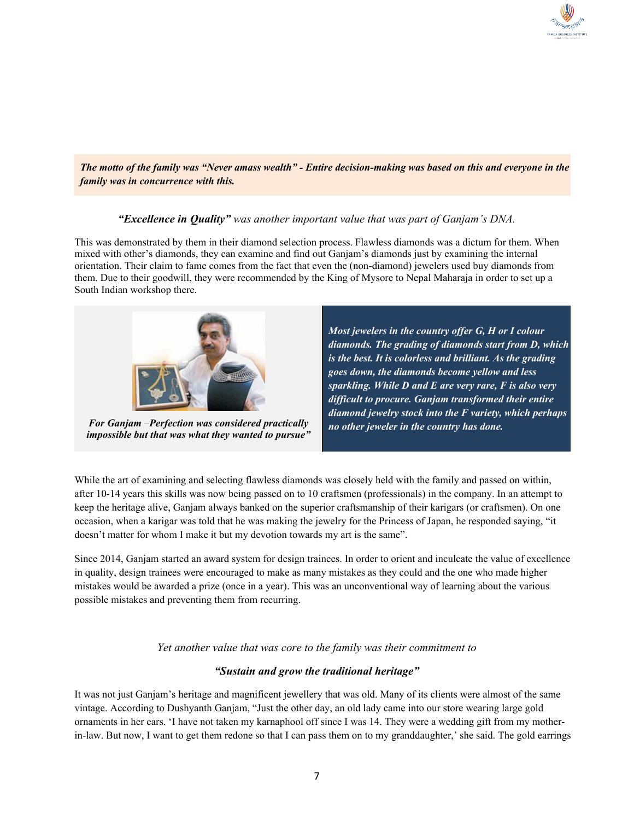

*The motto of the family was "Never amass wealth" - Entire decision-making was based on this and everyone in the family was in concurrence with this.*

#### *"Excellence in Quality" was another important value that was part of Ganjam's DNA.*

This was demonstrated by them in their diamond selection process. Flawless diamonds was a dictum for them. When mixed with other's diamonds, they can examine and find out Ganjam's diamonds just by examining the internal orientation. Their claim to fame comes from the fact that even the (non-diamond) jewelers used buy diamonds from them. Due to their goodwill, they were recommended by the King of Mysore to Nepal Maharaja in order to set up a South Indian workshop there.



*For Ganjam -Perfection was considered practically impossible but that was what they wanted to pursue"*

*Most jewelers in the country offer G, H or I colour diamonds. The grading of diamonds start from D, which is the best. It is colorless and brilliant. As the grading goes down, the diamonds become yellow and less sparkling. While D and E are very rare, F is also very difficult to procure. Ganjam transformed their entire diamond jewelry stock into the F variety, which perhaps no other jeweler in the country has done.*

While the art of examining and selecting flawless diamonds was closely held with the family and passed on within, after 10-14 years this skills was now being passed on to 10 craftsmen (professionals) in the company. In an attempt to keep the heritage alive, Ganjam always banked on the superior craftsmanship of their karigars (or craftsmen). On one occasion, when a karigar was told that he was making the jewelry for the Princess of Japan, he responded saying, "it doesn't matter for whom I make it but my devotion towards my art is the same".

Since 2014, Ganjam started an award system for design trainees. In order to orient and inculcate the value of excellence in quality, design trainees were encouraged to make as many mistakes as they could and the one who made higher mistakes would be awarded a prize (once in a year). This was an unconventional way of learning about the various possible mistakes and preventing them from recurring.

*Yet another value that was core to the family was their commitment to*

#### *"Sustain and grow the traditional heritage"*

It was not just Ganjam's heritage and magnificent jewellery that was old. Many of its clients were almost of the same vintage. According to Dushyanth Ganjam, "Just the other day, an old lady came into our store wearing large gold ornaments in her ears. 'I have not taken my karnaphool off since I was 14. They were a wedding gift from my motherin-law. But now, I want to get them redone so that I can pass them on to my granddaughter,' she said. The gold earrings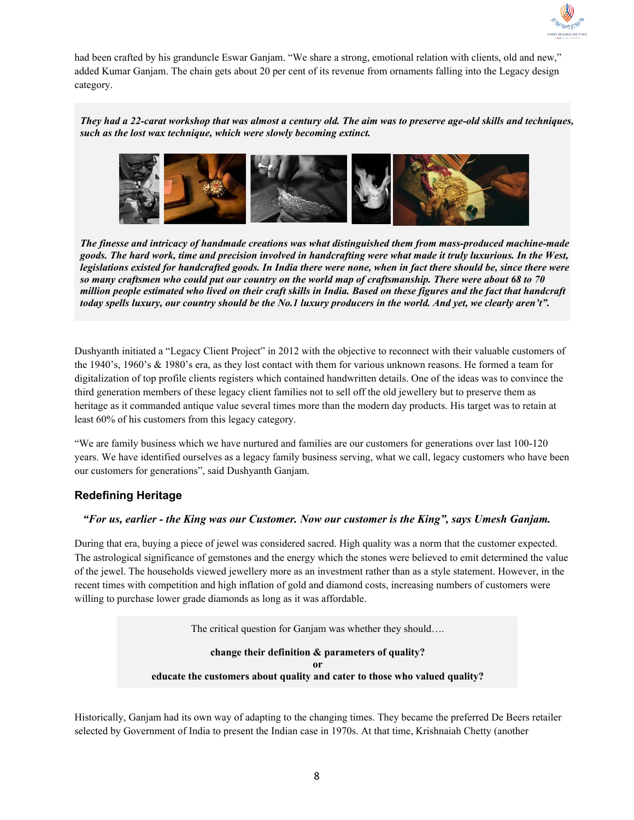

had been crafted by his granduncle Eswar Ganjam. "We share a strong, emotional relation with clients, old and new," added Kumar Ganjam. The chain gets about 20 per cent of its revenue from ornaments falling into the Legacy design category.

*They had a 22-carat workshop that was almost a century old. The aim was to preserve age-old skills and techniques, such as the lost wax technique, which were slowly becoming extinct.*



*The finesse and intricacy of handmade creations was what distinguished them from mass-produced machine-made goods. The hard work, time and precision involved in handcrafting were what made it truly luxurious. In the West, legislations existed for handcrafted goods. In India there were none, when in fact there should be, since there were so many craftsmen who could put our country on the world map of craftsmanship. There were about 68 to 70 million people estimated who lived on their craft skills in India. Based on these figures and the fact that handcraft today spells luxury, our country should be the No.1 luxury producers in the world. And yet, we clearly aren't".*

Dushyanth initiated a "Legacy Client Project" in 2012 with the objective to reconnect with their valuable customers of the 1940's, 1960's & 1980's era, as they lost contact with them for various unknown reasons. He formed a team for digitalization of top profile clients registers which contained handwritten details. One of the ideas was to convince the third generation members of these legacy client families not to sell off the old jewellery but to preserve them as heritage as it commanded antique value several times more than the modern day products. His target was to retain at least 60% of his customers from this legacy category.

"We are family business which we have nurtured and families are our customers for generations over last 100-120 years. We have identified ourselves as a legacy family business serving, what we call, legacy customers who have been our customers for generations", said Dushyanth Ganjam.

## **Redefining Heritage**

#### *"For us, earlier - the King was our Customer. Now our customer is the King", says Umesh Ganjam.*

During that era, buying a piece of jewel was considered sacred. High quality was a norm that the customer expected. The astrological significance of gemstones and the energy which the stones were believed to emit determined the value of the jewel. The households viewed jewellery more as an investment rather than as a style statement. However, in the recent times with competition and high inflation of gold and diamond costs, increasing numbers of customers were willing to purchase lower grade diamonds as long as it was affordable.

The critical question for Ganjam was whether they should….

**change their definition & parameters of quality? or educate the customers about quality and cater to those who valued quality?**

Historically, Ganjam had its own way of adapting to the changing times. They became the preferred De Beers retailer selected by Government of India to present the Indian case in 1970s. At that time, Krishnaiah Chetty (another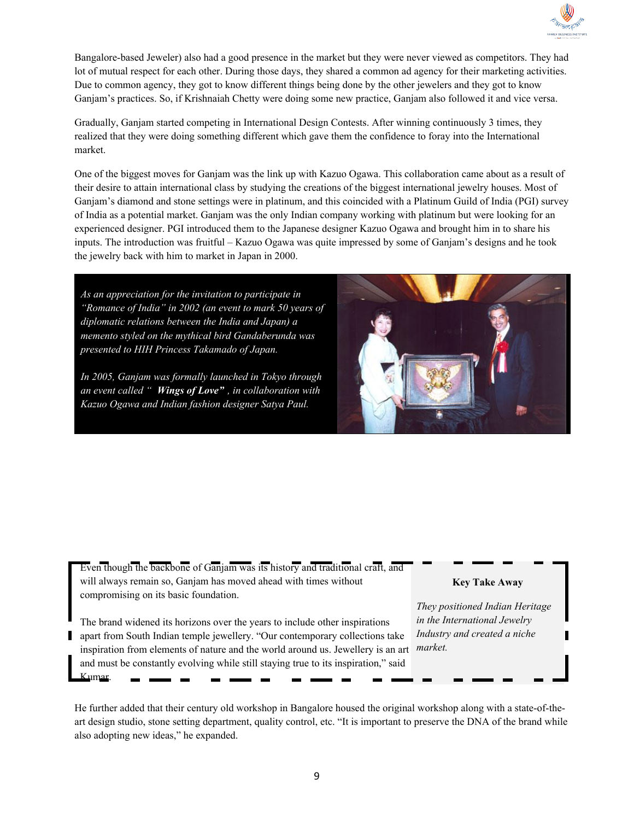

Bangalore-based Jeweler) also had a good presence in the market but they were never viewed as competitors. They had lot of mutual respect for each other. During those days, they shared a common ad agency for their marketing activities. Due to common agency, they got to know different things being done by the other jewelers and they got to know Ganjam's practices. So, if Krishnaiah Chetty were doing some new practice, Ganjam also followed it and vice versa.

Gradually, Ganjam started competing in International Design Contests. After winning continuously 3 times, they realized that they were doing something different which gave them the confidence to foray into the International market.

One of the biggest moves for Ganjam was the link up with Kazuo Ogawa. This collaboration came about as a result of their desire to attain international class by studying the creations of the biggest international jewelry houses. Most of Ganjam's diamond and stone settings were in platinum, and this coincided with a Platinum Guild of India (PGI) survey of India as a potential market. Ganjam was the only Indian company working with platinum but were looking for an experienced designer. PGI introduced them to the Japanese designer Kazuo Ogawa and brought him in to share his inputs. The introduction was fruitful – Kazuo Ogawa was quite impressed by some of Ganjam's designs and he took the jewelry back with him to market in Japan in 2000.

*As an appreciation for the invitation to participate in "Romance of India" in 2002 (an event to mark 50 years of diplomatic relations between the India and Japan) a memento styled on the mythical bird Gandaberunda was presented to HIH Princess Takamado of Japan.*

*In 2005, Ganjam was formally launched in Tokyo through an event called " Wings of Love" , in collaboration with Kazuo Ogawa and Indian fashion designer Satya Paul.*



Even though the backbone of Ganjam was its history and traditional craft, and will always remain so, Ganjam has moved ahead with times without compromising on its basic foundation.

The brand widened its horizons over the years to include other inspirations apart from South Indian temple jewellery. "Our contemporary collections take inspiration from elements of nature and the world around us. Jewellery is an art and must be constantly evolving while still staying true to its inspiration," said Kumar.

#### **Key Take Away**

*They positioned Indian Heritage in the International Jewelry Industry and created a niche market.*

He further added that their century old workshop in Bangalore housed the original workshop along with a state-of-theart design studio, stone setting department, quality control, etc. "It is important to preserve the DNA of the brand while also adopting new ideas," he expanded.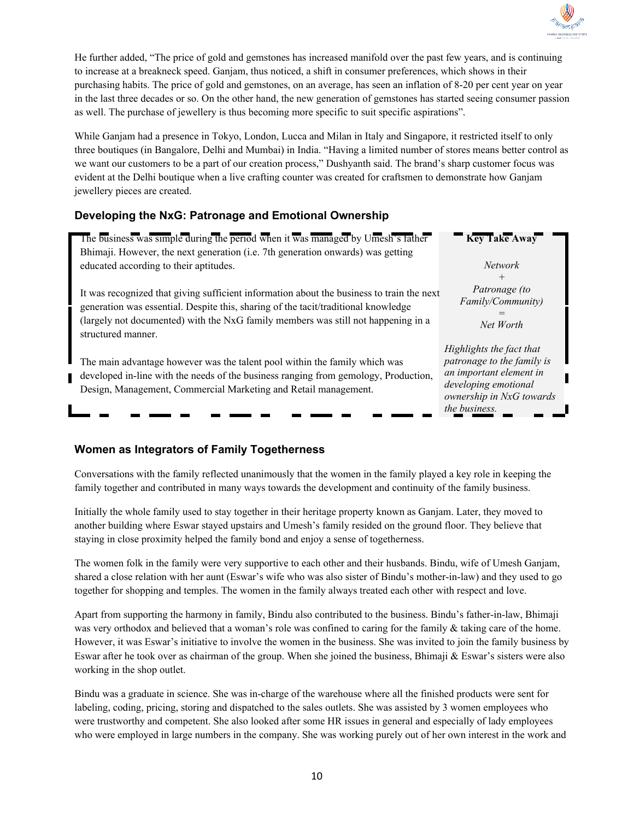

He further added, "The price of gold and gemstones has increased manifold over the past few years, and is continuing to increase at a breakneck speed. Ganjam, thus noticed, a shift in consumer preferences, which shows in their purchasing habits. The price of gold and gemstones, on an average, has seen an inflation of 8-20 per cent year on year in the last three decades or so. On the other hand, the new generation of gemstones has started seeing consumer passion as well. The purchase of jewellery is thus becoming more specific to suit specific aspirations".

While Ganjam had a presence in Tokyo, London, Lucca and Milan in Italy and Singapore, it restricted itself to only three boutiques (in Bangalore, Delhi and Mumbai) in India. "Having a limited number of stores means better control as we want our customers to be a part of our creation process," Dushyanth said. The brand's sharp customer focus was evident at the Delhi boutique when a live crafting counter was created for craftsmen to demonstrate how Ganjam jewellery pieces are created.

## **Developing the NxG: Patronage and Emotional Ownership**

| The business was simple during the period when it was managed by Umesh's father<br>Bhimaji. However, the next generation (i.e. 7th generation onwards) was getting                                                                                                                         | <b>Key Take Away</b>                                                                                                                                   |
|--------------------------------------------------------------------------------------------------------------------------------------------------------------------------------------------------------------------------------------------------------------------------------------------|--------------------------------------------------------------------------------------------------------------------------------------------------------|
| educated according to their aptitudes.                                                                                                                                                                                                                                                     | <i>Network</i><br>$^{+}$                                                                                                                               |
| It was recognized that giving sufficient information about the business to train the next<br>generation was essential. Despite this, sharing of the tacit/traditional knowledge<br>(largely not documented) with the NxG family members was still not happening in a<br>structured manner. | Patronage (to<br>Family/Community)<br>Net Worth                                                                                                        |
| The main advantage however was the talent pool within the family which was<br>developed in-line with the needs of the business ranging from gemology, Production,<br>Design, Management, Commercial Marketing and Retail management.                                                       | Highlights the fact that<br>patronage to the family is<br>an important element in<br>developing emotional<br>ownership in NxG towards<br>the business. |

## **Women as Integrators of Family Togetherness**

Conversations with the family reflected unanimously that the women in the family played a key role in keeping the family together and contributed in many ways towards the development and continuity of the family business.

Initially the whole family used to stay together in their heritage property known as Ganjam. Later, they moved to another building where Eswar stayed upstairs and Umesh's family resided on the ground floor. They believe that staying in close proximity helped the family bond and enjoy a sense of togetherness.

The women folk in the family were very supportive to each other and their husbands. Bindu, wife of Umesh Ganjam, shared a close relation with her aunt (Eswar's wife who was also sister of Bindu's mother-in-law) and they used to go together for shopping and temples. The women in the family always treated each other with respect and love.

Apart from supporting the harmony in family, Bindu also contributed to the business. Bindu's father-in-law, Bhimaji was very orthodox and believed that a woman's role was confined to caring for the family & taking care of the home. However, it was Eswar's initiative to involve the women in the business. She was invited to join the family business by Eswar after he took over as chairman of the group. When she joined the business, Bhimaji & Eswar's sisters were also working in the shop outlet.

Bindu was a graduate in science. She was in-charge of the warehouse where all the finished products were sent for labeling, coding, pricing, storing and dispatched to the sales outlets. She was assisted by 3 women employees who were trustworthy and competent. She also looked after some HR issues in general and especially of lady employees who were employed in large numbers in the company. She was working purely out of her own interest in the work and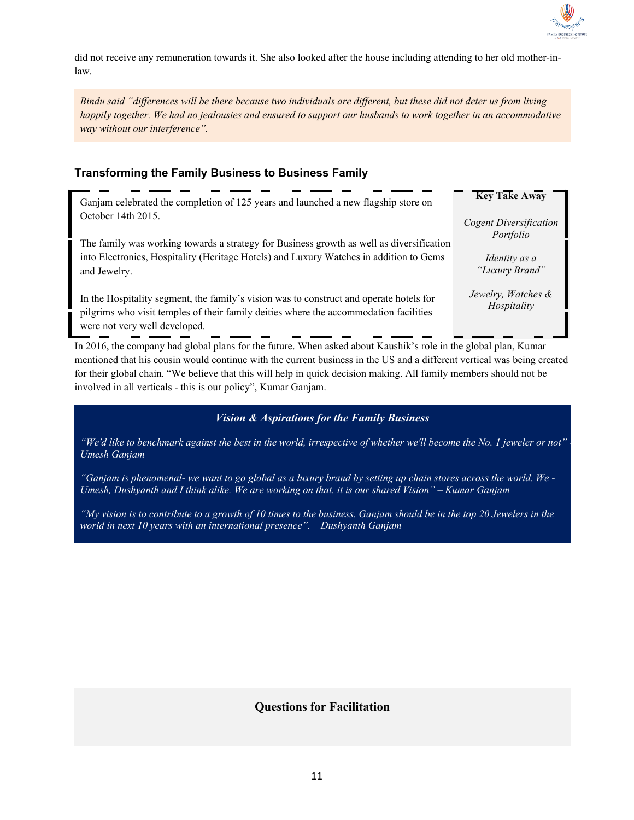

did not receive any remuneration towards it. She also looked after the house including attending to her old mother-inlaw.

*Bindu said "differences will be there because two individuals are different, but these did not deter us from living happily together. We had no jealousies and ensured to support our husbands to work together in an accommodative way without our interference".*

## **Transforming the Family Business to Business Family**

Ganjam celebrated the completion of 125 years and launched a new flagship store on October 14th 2015.

The family was working towards a strategy for Business growth as well as diversification into Electronics, Hospitality (Heritage Hotels) and Luxury Watches in addition to Gems and Jewelry.

In the Hospitality segment, the family's vision was to construct and operate hotels for pilgrims who visit temples of their family deities where the accommodation facilities were not very well developed.

**Key Take Away**

*Cogent Diversification Portfolio*

> *Identity as a "Luxury Brand"*

*Jewelry, Watches & Hospitality*

In 2016, the company had global plans for the future. When asked about Kaushik's role in the global plan, Kumar mentioned that his cousin would continue with the current business in the US and a different vertical was being created for their global chain. "We believe that this will help in quick decision making. All family members should not be involved in all verticals - this is our policy", Kumar Ganjam.

## *Vision & Aspirations for the Family Business*

*"We'd like to benchmark against the best in the world, irrespective of whether we'll become the No. 1 jeweler or not" - Umesh Ganjam*

*"Ganjam is phenomenal- we want to go global as a luxury brand by setting up chain stores across the world. We - Umesh, Dushyanth and I think alike. We are working on that. it is our shared Vision" – Kumar Ganjam*

*"My vision is to contribute to a growth of 10 times to the business. Ganjam should be in the top 20 Jewelers in the world in next 10 years with an international presence". – Dushyanth Ganjam*

## **Questions for Facilitation**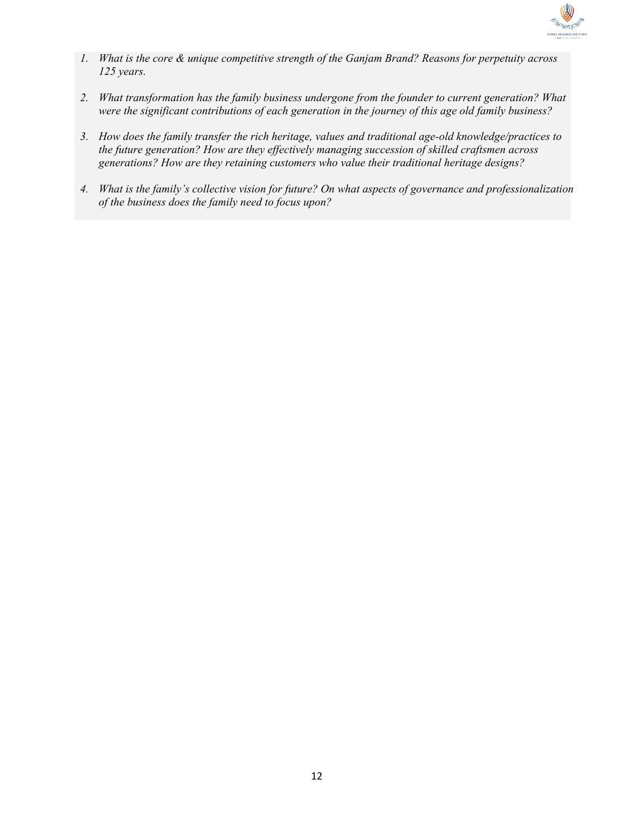

- *1. What is the core & unique competitive strength of the Ganjam Brand? Reasons for perpetuity across 125 years.*
- *2. What transformation has the family business undergone from the founder to current generation? What were the significant contributions of each generation in the journey of this age old family business?*
- *3. How does the family transfer the rich heritage, values and traditional age-old knowledge/practices to the future generation? How are they effectively managing succession of skilled craftsmen across generations? How are they retaining customers who value their traditional heritage designs?*
- *4. What is the family's collective vision for future? On what aspects of governance and professionalization of the business does the family need to focus upon?*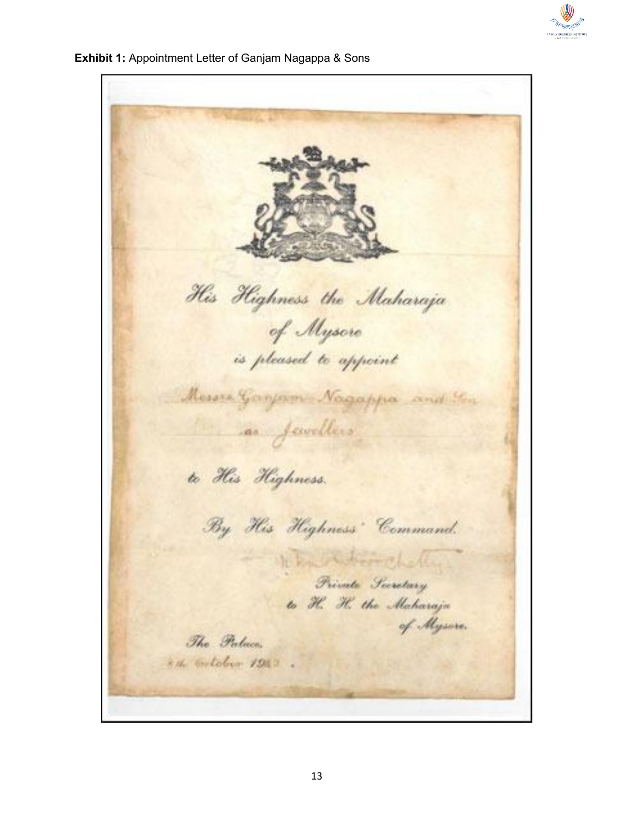

**Exhibit 1:** Appointment Letter of Ganjam Nagappa & Sons

His Highness the Maharaja of Mysore is pleased to appoint Messex Ganjam Nagappa and Ton as fewellers to His Highness. By His Highness Command. Res Partiment -Friends Secretary to H. H. the Maharaja of Mysore. The Palace, x 4. Gotober 1912.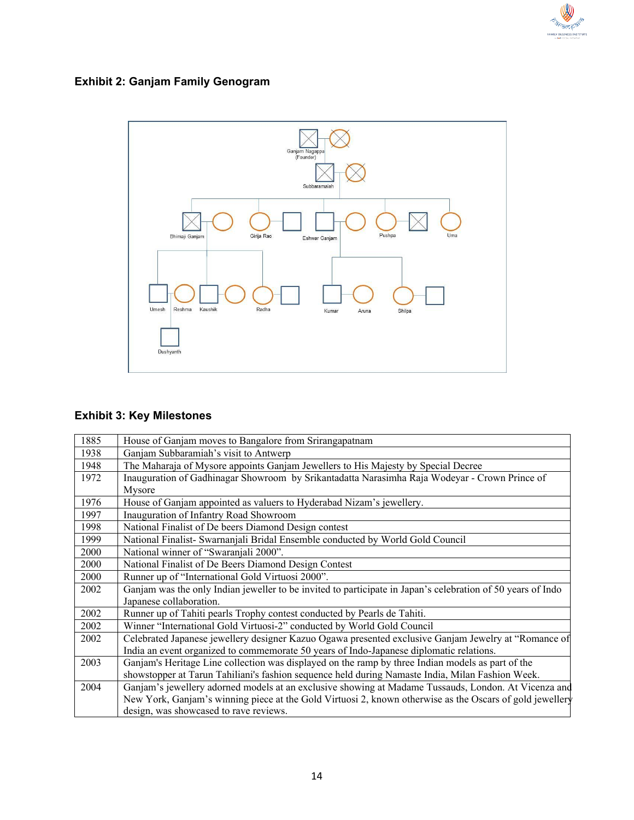

# **Exhibit 2: Ganjam Family Genogram**



# **Exhibit 3: Key Milestones**

| 1885 | House of Ganjam moves to Bangalore from Srirangapatnam                                                      |
|------|-------------------------------------------------------------------------------------------------------------|
| 1938 | Ganjam Subbaramiah's visit to Antwerp                                                                       |
| 1948 | The Maharaja of Mysore appoints Ganjam Jewellers to His Majesty by Special Decree                           |
| 1972 | Inauguration of Gadhinagar Showroom by Srikantadatta Narasimha Raja Wodeyar - Crown Prince of               |
|      | Mysore                                                                                                      |
| 1976 | House of Ganjam appointed as valuers to Hyderabad Nizam's jewellery.                                        |
| 1997 | Inauguration of Infantry Road Showroom                                                                      |
| 1998 | National Finalist of De beers Diamond Design contest                                                        |
| 1999 | National Finalist- Swarnanjali Bridal Ensemble conducted by World Gold Council                              |
| 2000 | National winner of "Swaranjali 2000".                                                                       |
| 2000 | National Finalist of De Beers Diamond Design Contest                                                        |
| 2000 | Runner up of "International Gold Virtuosi 2000".                                                            |
| 2002 | Ganjam was the only Indian jeweller to be invited to participate in Japan's celebration of 50 years of Indo |
|      | Japanese collaboration.                                                                                     |
| 2002 | Runner up of Tahiti pearls Trophy contest conducted by Pearls de Tahiti.                                    |
| 2002 | Winner "International Gold Virtuosi-2" conducted by World Gold Council                                      |
| 2002 | Celebrated Japanese jewellery designer Kazuo Ogawa presented exclusive Ganjam Jewelry at "Romance of        |
|      | India an event organized to commemorate 50 years of Indo-Japanese diplomatic relations.                     |
| 2003 | Ganjam's Heritage Line collection was displayed on the ramp by three Indian models as part of the           |
|      | showstopper at Tarun Tahiliani's fashion sequence held during Namaste India, Milan Fashion Week.            |
| 2004 | Ganjam's jewellery adorned models at an exclusive showing at Madame Tussauds, London. At Vicenza and        |
|      | New York, Ganjam's winning piece at the Gold Virtuosi 2, known otherwise as the Oscars of gold jewellery    |
|      | design, was showcased to rave reviews.                                                                      |